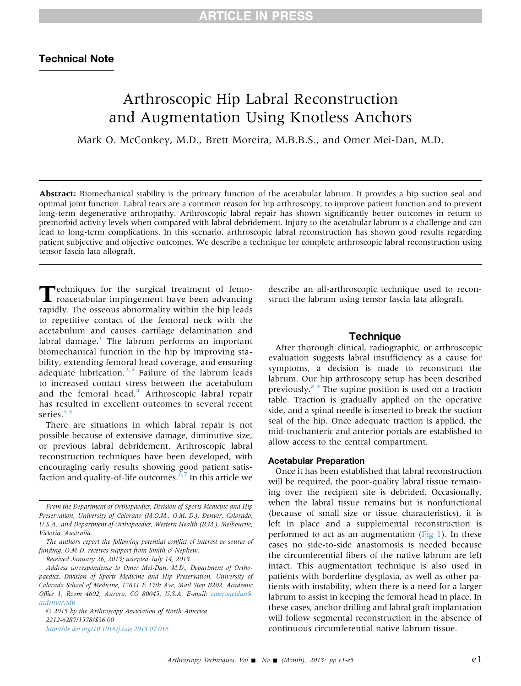### Technical Note

# Arthroscopic Hip Labral Reconstruction and Augmentation Using Knotless Anchors

Mark O. McConkey, M.D., Brett Moreira, M.B.B.S., and Omer Mei-Dan, M.D.

Abstract: Biomechanical stability is the primary function of the acetabular labrum. It provides a hip suction seal and optimal joint function. Labral tears are a common reason for hip arthroscopy, to improve patient function and to prevent long-term degenerative arthropathy. Arthroscopic labral repair has shown significantly better outcomes in return to premorbid activity levels when compared with labral debridement. Injury to the acetabular labrum is a challenge and can lead to long-term complications. In this scenario, arthroscopic labral reconstruction has shown good results regarding patient subjective and objective outcomes. We describe a technique for complete arthroscopic labral reconstruction using tensor fascia lata allograft.

Techniques for the surgical treatment of femo-<br>roacetabular impingement have been advancing rapidly. The osseous abnormality within the hip leads to repetitive contact of the femoral neck with the acetabulum and causes cartilage delamination and labral damage. $<sup>1</sup>$  $<sup>1</sup>$  $<sup>1</sup>$  The labrum performs an important</sup> biomechanical function in the hip by improving stability, extending femoral head coverage, and ensuring adequate lubrication.<sup>[2,3](#page-4-0)</sup> Failure of the labrum leads to increased contact stress between the acetabulum and the femoral head.<sup>[4](#page-4-0)</sup> Arthroscopic labral repair has resulted in excellent outcomes in several recent series. $5,6$ 

There are situations in which labral repair is not possible because of extensive damage, diminutive size, or previous labral debridement. Arthroscopic labral reconstruction techniques have been developed, with encouraging early results showing good patient satisfaction and quality-of-life outcomes. $6.7$  In this article we

Received January 26, 2015; accepted July 14, 2015.

describe an all-arthroscopic technique used to reconstruct the labrum using tensor fascia lata allograft.

#### **Technique**

After thorough clinical, radiographic, or arthroscopic evaluation suggests labral insufficiency as a cause for symptoms, a decision is made to reconstruct the labrum. Our hip arthroscopy setup has been described previously.[8,9](#page-4-0) The supine position is used on a traction table. Traction is gradually applied on the operative side, and a spinal needle is inserted to break the suction seal of the hip. Once adequate traction is applied, the mid-trochanteric and anterior portals are established to allow access to the central compartment.

#### Acetabular Preparation

Once it has been established that labral reconstruction will be required, the poor-quality labral tissue remaining over the recipient site is debrided. Occasionally, when the labral tissue remains but is nonfunctional (because of small size or tissue characteristics), it is left in place and a supplemental reconstruction is performed to act as an augmentation  $(Fig 1)$  $(Fig 1)$  $(Fig 1)$ . In these cases no side-to-side anastomosis is needed because the circumferential fibers of the native labrum are left intact. This augmentation technique is also used in patients with borderline dysplasia, as well as other patients with instability, when there is a need for a larger labrum to assist in keeping the femoral head in place. In these cases, anchor drilling and labral graft implantation will follow segmental reconstruction in the absence of continuous circumferential native labrum tissue.

From the Department of Orthopaedics, Division of Sports Medicine and Hip Preservation, University of Colorado (M.O.M., O.M.-D.), Denver, Colorado, U.S.A.; and Department of Orthopaedics, Western Health (B.M.), Melbourne, Victoria, Australia.

The authors report the following potential conflict of interest or source of funding: O.M-D. receives support from Smith  $\mathcal{C}$  Nephew.

Address correspondence to Omer Mei-Dan, M.D., Department of Orthopaedics, Division of Sports Medicine and Hip Preservation, University of Colorado School of Medicine, 12631 E 17th Ave, Mail Stop B202, Academic Office 1, Room 4602, Aurora, CO 80045, U.S.A. E-mail: [omer.meidan@](mailto:omer.meidan@ucdenver.edu) [ucdenver.edu](mailto:omer.meidan@ucdenver.edu)

2015 by the Arthroscopy Association of North America 2212-6287/1578/\$36.00 <http://dx.doi.org/10.1016/j.eats.2015.07.016>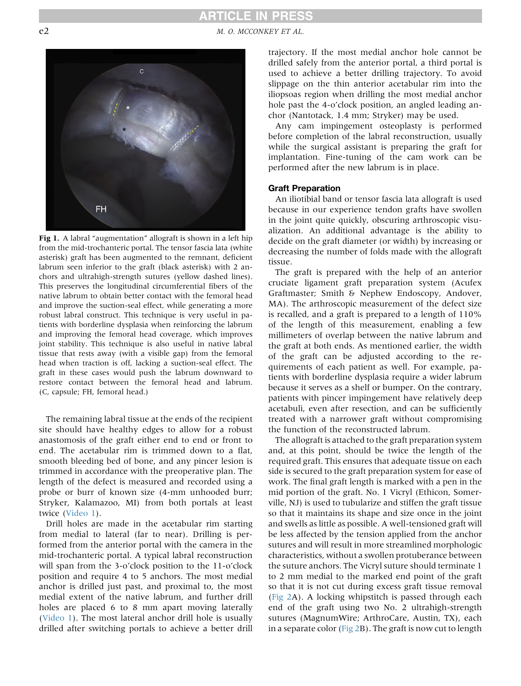<span id="page-1-0"></span>e2 M. O. MCCONKEY ET AL.



Fig 1. A labral "augmentation" allograft is shown in a left hip from the mid-trochanteric portal. The tensor fascia lata (white asterisk) graft has been augmented to the remnant, deficient labrum seen inferior to the graft (black asterisk) with 2 anchors and ultrahigh-strength sutures (yellow dashed lines). This preserves the longitudinal circumferential fibers of the native labrum to obtain better contact with the femoral head and improve the suction-seal effect, while generating a more robust labral construct. This technique is very useful in patients with borderline dysplasia when reinforcing the labrum and improving the femoral head coverage, which improves joint stability. This technique is also useful in native labral tissue that rests away (with a visible gap) from the femoral head when traction is off, lacking a suction-seal effect. The graft in these cases would push the labrum downward to restore contact between the femoral head and labrum. (C, capsule; FH, femoral head.)

The remaining labral tissue at the ends of the recipient site should have healthy edges to allow for a robust anastomosis of the graft either end to end or front to end. The acetabular rim is trimmed down to a flat, smooth bleeding bed of bone, and any pincer lesion is trimmed in accordance with the preoperative plan. The length of the defect is measured and recorded using a probe or burr of known size (4-mm unhooded burr; Stryker, Kalamazoo, MI) from both portals at least twice (Video 1).

Drill holes are made in the acetabular rim starting from medial to lateral (far to near). Drilling is performed from the anterior portal with the camera in the mid-trochanteric portal. A typical labral reconstruction will span from the 3-o'clock position to the 11-o'clock position and require 4 to 5 anchors. The most medial anchor is drilled just past, and proximal to, the most medial extent of the native labrum, and further drill holes are placed 6 to 8 mm apart moving laterally (Video 1). The most lateral anchor drill hole is usually drilled after switching portals to achieve a better drill trajectory. If the most medial anchor hole cannot be drilled safely from the anterior portal, a third portal is used to achieve a better drilling trajectory. To avoid slippage on the thin anterior acetabular rim into the iliopsoas region when drilling the most medial anchor hole past the 4-o'clock position, an angled leading anchor (Nantotack, 1.4 mm; Stryker) may be used.

Any cam impingement osteoplasty is performed before completion of the labral reconstruction, usually while the surgical assistant is preparing the graft for implantation. Fine-tuning of the cam work can be performed after the new labrum is in place.

#### Graft Preparation

An iliotibial band or tensor fascia lata allograft is used because in our experience tendon grafts have swollen in the joint quite quickly, obscuring arthroscopic visualization. An additional advantage is the ability to decide on the graft diameter (or width) by increasing or decreasing the number of folds made with the allograft tissue.

The graft is prepared with the help of an anterior cruciate ligament graft preparation system (Acufex Graftmaster; Smith & Nephew Endoscopy, Andover, MA). The arthroscopic measurement of the defect size is recalled, and a graft is prepared to a length of 110% of the length of this measurement, enabling a few millimeters of overlap between the native labrum and the graft at both ends. As mentioned earlier, the width of the graft can be adjusted according to the requirements of each patient as well. For example, patients with borderline dysplasia require a wider labrum because it serves as a shelf or bumper. On the contrary, patients with pincer impingement have relatively deep acetabuli, even after resection, and can be sufficiently treated with a narrower graft without compromising the function of the reconstructed labrum.

The allograft is attached to the graft preparation system and, at this point, should be twice the length of the required graft. This ensures that adequate tissue on each side is secured to the graft preparation system for ease of work. The final graft length is marked with a pen in the mid portion of the graft. No. 1 Vicryl (Ethicon, Somerville, NJ) is used to tubularize and stiffen the graft tissue so that it maintains its shape and size once in the joint and swells as little as possible. A well-tensioned graft will be less affected by the tension applied from the anchor sutures and will result in more streamlined morphologic characteristics, without a swollen protuberance between the suture anchors. The Vicryl suture should terminate 1 to 2 mm medial to the marked end point of the graft so that it is not cut during excess graft tissue removal ([Fig 2](#page-2-0)A). A locking whipstitch is passed through each end of the graft using two No. 2 ultrahigh-strength sutures (MagnumWire; ArthroCare, Austin, TX), each in a separate color [\(Fig 2B](#page-2-0)). The graft is now cut to length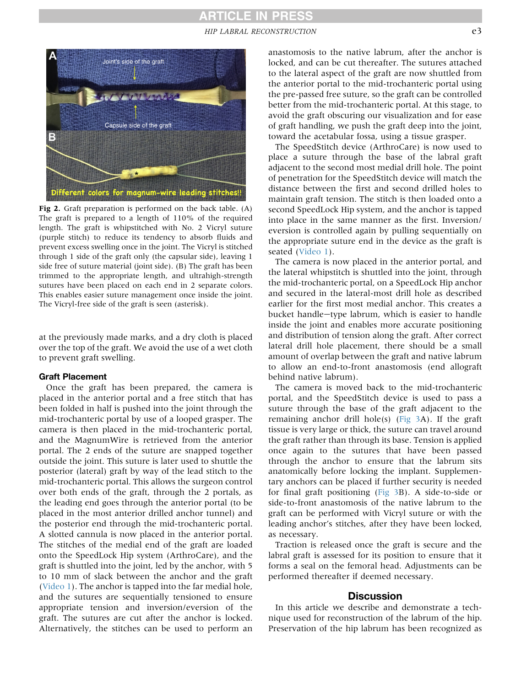## **ARTICLE IN PRESS** HIP LABRAL RECONSTRUCTION  $e<sup>3</sup>$

<span id="page-2-0"></span>

Fig 2. Graft preparation is performed on the back table. (A) The graft is prepared to a length of 110% of the required length. The graft is whipstitched with No. 2 Vicryl suture (purple stitch) to reduce its tendency to absorb fluids and prevent excess swelling once in the joint. The Vicryl is stitched through 1 side of the graft only (the capsular side), leaving 1 side free of suture material (joint side). (B) The graft has been trimmed to the appropriate length, and ultrahigh-strength sutures have been placed on each end in 2 separate colors. This enables easier suture management once inside the joint. The Vicryl-free side of the graft is seen (asterisk).

at the previously made marks, and a dry cloth is placed over the top of the graft. We avoid the use of a wet cloth to prevent graft swelling.

#### Graft Placement

Once the graft has been prepared, the camera is placed in the anterior portal and a free stitch that has been folded in half is pushed into the joint through the mid-trochanteric portal by use of a looped grasper. The camera is then placed in the mid-trochanteric portal, and the MagnumWire is retrieved from the anterior portal. The 2 ends of the suture are snapped together outside the joint. This suture is later used to shuttle the posterior (lateral) graft by way of the lead stitch to the mid-trochanteric portal. This allows the surgeon control over both ends of the graft, through the 2 portals, as the leading end goes through the anterior portal (to be placed in the most anterior drilled anchor tunnel) and the posterior end through the mid-trochanteric portal. A slotted cannula is now placed in the anterior portal. The stitches of the medial end of the graft are loaded onto the SpeedLock Hip system (ArthroCare), and the graft is shuttled into the joint, led by the anchor, with 5 to 10 mm of slack between the anchor and the graft (Video 1). The anchor is tapped into the far medial hole, and the sutures are sequentially tensioned to ensure appropriate tension and inversion/eversion of the graft. The sutures are cut after the anchor is locked. Alternatively, the stitches can be used to perform an

anastomosis to the native labrum, after the anchor is locked, and can be cut thereafter. The sutures attached to the lateral aspect of the graft are now shuttled from the anterior portal to the mid-trochanteric portal using the pre-passed free suture, so the graft can be controlled better from the mid-trochanteric portal. At this stage, to avoid the graft obscuring our visualization and for ease of graft handling, we push the graft deep into the joint, toward the acetabular fossa, using a tissue grasper.

The SpeedStitch device (ArthroCare) is now used to place a suture through the base of the labral graft adjacent to the second most medial drill hole. The point of penetration for the SpeedStitch device will match the distance between the first and second drilled holes to maintain graft tension. The stitch is then loaded onto a second SpeedLock Hip system, and the anchor is tapped into place in the same manner as the first. Inversion/ eversion is controlled again by pulling sequentially on the appropriate suture end in the device as the graft is seated (Video 1).

The camera is now placed in the anterior portal, and the lateral whipstitch is shuttled into the joint, through the mid-trochanteric portal, on a SpeedLock Hip anchor and secured in the lateral-most drill hole as described earlier for the first most medial anchor. This creates a bucket handle-type labrum, which is easier to handle inside the joint and enables more accurate positioning and distribution of tension along the graft. After correct lateral drill hole placement, there should be a small amount of overlap between the graft and native labrum to allow an end-to-front anastomosis (end allograft behind native labrum).

The camera is moved back to the mid-trochanteric portal, and the SpeedStitch device is used to pass a suture through the base of the graft adjacent to the remaining anchor drill hole(s) (Fig  $3A$ ). If the graft tissue is very large or thick, the suture can travel around the graft rather than through its base. Tension is applied once again to the sutures that have been passed through the anchor to ensure that the labrum sits anatomically before locking the implant. Supplementary anchors can be placed if further security is needed for final graft positioning ([Fig 3](#page-3-0)B). A side-to-side or side-to-front anastomosis of the native labrum to the graft can be performed with Vicryl suture or with the leading anchor's stitches, after they have been locked, as necessary.

Traction is released once the graft is secure and the labral graft is assessed for its position to ensure that it forms a seal on the femoral head. Adjustments can be performed thereafter if deemed necessary.

#### Discussion

In this article we describe and demonstrate a technique used for reconstruction of the labrum of the hip. Preservation of the hip labrum has been recognized as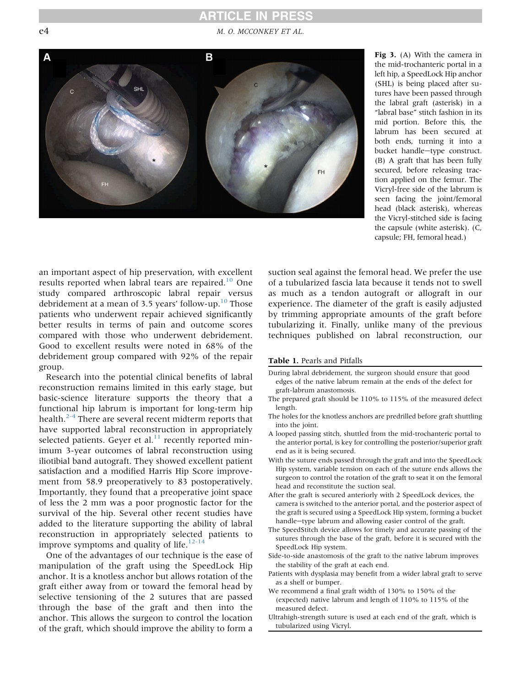## **ARTICLE IN PRESS**

<span id="page-3-0"></span>

Fig 3. (A) With the camera in the mid-trochanteric portal in a left hip, a SpeedLock Hip anchor (SHL) is being placed after sutures have been passed through the labral graft (asterisk) in a "labral base" stitch fashion in its mid portion. Before this, the labrum has been secured at both ends, turning it into a bucket handle-type construct. (B) A graft that has been fully secured, before releasing traction applied on the femur. The Vicryl-free side of the labrum is seen facing the joint/femoral head (black asterisk), whereas the Vicryl-stitched side is facing the capsule (white asterisk). (C, capsule; FH, femoral head.)

an important aspect of hip preservation, with excellent results reported when labral tears are repaired. $10$  One study compared arthroscopic labral repair versus debridement at a mean of 3.5 years' follow-up. $10$  Those patients who underwent repair achieved significantly better results in terms of pain and outcome scores compared with those who underwent debridement. Good to excellent results were noted in 68% of the debridement group compared with 92% of the repair group.

Research into the potential clinical benefits of labral reconstruction remains limited in this early stage, but basic-science literature supports the theory that a functional hip labrum is important for long-term hip health.<sup>[2-4](#page-4-0)</sup> There are several recent midterm reports that have supported labral reconstruction in appropriately selected patients. Geyer et al. $<sup>11</sup>$  $<sup>11</sup>$  $<sup>11</sup>$  recently reported min-</sup> imum 3-year outcomes of labral reconstruction using iliotibial band autograft. They showed excellent patient satisfaction and a modified Harris Hip Score improvement from 58.9 preoperatively to 83 postoperatively. Importantly, they found that a preoperative joint space of less the 2 mm was a poor prognostic factor for the survival of the hip. Several other recent studies have added to the literature supporting the ability of labral reconstruction in appropriately selected patients to improve symptoms and quality of life. $12-14$ 

One of the advantages of our technique is the ease of manipulation of the graft using the SpeedLock Hip anchor. It is a knotless anchor but allows rotation of the graft either away from or toward the femoral head by selective tensioning of the 2 sutures that are passed through the base of the graft and then into the anchor. This allows the surgeon to control the location of the graft, which should improve the ability to form a

suction seal against the femoral head. We prefer the use of a tubularized fascia lata because it tends not to swell as much as a tendon autograft or allograft in our experience. The diameter of the graft is easily adjusted by trimming appropriate amounts of the graft before tubularizing it. Finally, unlike many of the previous techniques published on labral reconstruction, our

Table 1. Pearls and Pitfalls

- During labral debridement, the surgeon should ensure that good edges of the native labrum remain at the ends of the defect for graft-labrum anastomosis.
- The prepared graft should be 110% to 115% of the measured defect length.
- The holes for the knotless anchors are predrilled before graft shuttling into the joint.
- A looped passing stitch, shuttled from the mid-trochanteric portal to the anterior portal, is key for controlling the posterior/superior graft end as it is being secured.
- With the suture ends passed through the graft and into the SpeedLock Hip system, variable tension on each of the suture ends allows the surgeon to control the rotation of the graft to seat it on the femoral head and reconstitute the suction seal.
- After the graft is secured anteriorly with 2 SpeedLock devices, the camera is switched to the anterior portal, and the posterior aspect of the graft is secured using a SpeedLock Hip system, forming a bucket handle-type labrum and allowing easier control of the graft.
- The SpeedStitch device allows for timely and accurate passing of the sutures through the base of the graft, before it is secured with the SpeedLock Hip system.
- Side-to-side anastomosis of the graft to the native labrum improves the stability of the graft at each end.
- Patients with dysplasia may benefit from a wider labral graft to serve as a shelf or bumper.
- We recommend a final graft width of 130% to 150% of the (expected) native labrum and length of 110% to 115% of the measured defect.
- Ultrahigh-strength suture is used at each end of the graft, which is tubularized using Vicryl.